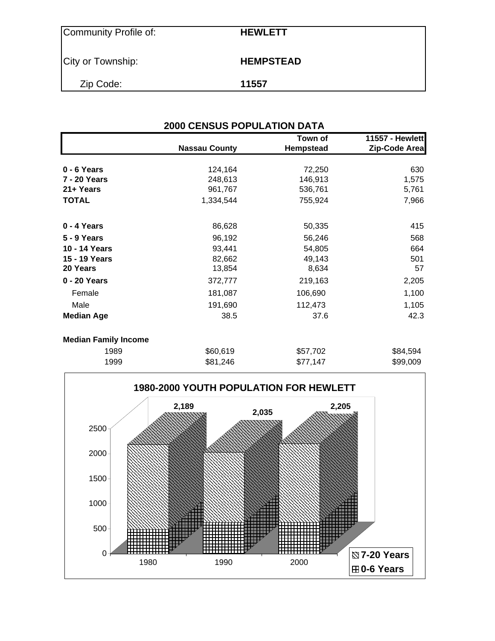| Community Profile of: | <b>HEWLETT</b>   |
|-----------------------|------------------|
| City or Township:     | <b>HEMPSTEAD</b> |
| Zip Code:             | 11557            |

| <b>2000 CENSUS POPULATION DATA</b> |                      |                      |                                  |  |  |  |
|------------------------------------|----------------------|----------------------|----------------------------------|--|--|--|
|                                    | <b>Nassau County</b> | Town of<br>Hempstead | 11557 - Hewlett<br>Zip-Code Area |  |  |  |
| 0 - 6 Years                        | 124,164              | 72,250               | 630                              |  |  |  |
| 7 - 20 Years                       | 248,613              | 146,913              | 1,575                            |  |  |  |
| 21+ Years                          | 961,767              | 536,761              | 5,761                            |  |  |  |
| <b>TOTAL</b>                       | 1,334,544            | 755,924              | 7,966                            |  |  |  |
| 0 - 4 Years                        | 86,628               | 50,335               | 415                              |  |  |  |
| <b>5 - 9 Years</b>                 | 96,192               | 56,246               | 568                              |  |  |  |
| 10 - 14 Years                      | 93,441               | 54,805               | 664                              |  |  |  |
| 15 - 19 Years                      | 82,662               | 49,143               | 501                              |  |  |  |
| 20 Years                           | 13,854               | 8,634                | 57                               |  |  |  |
| 0 - 20 Years                       | 372,777              | 219,163              | 2,205                            |  |  |  |
| Female                             | 181,087              | 106,690              | 1,100                            |  |  |  |
| Male                               | 191,690              | 112,473              | 1,105                            |  |  |  |
| <b>Median Age</b>                  | 38.5                 | 37.6                 | 42.3                             |  |  |  |
| <b>Median Family Income</b>        |                      |                      |                                  |  |  |  |
| 1989                               | \$60,619             | \$57,702             | \$84,594                         |  |  |  |
|                                    |                      |                      |                                  |  |  |  |

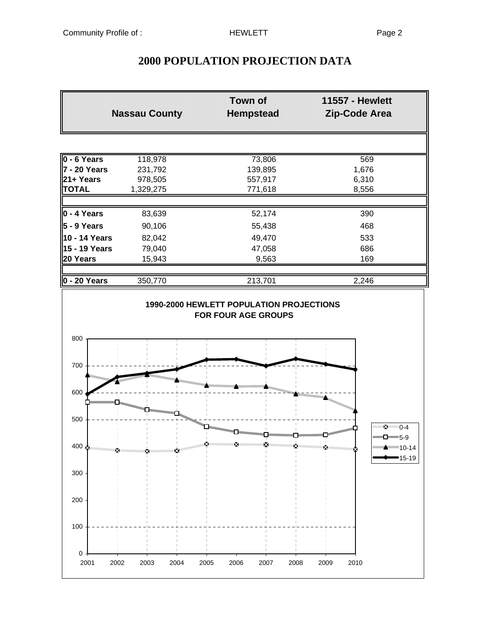# **2000 POPULATION PROJECTION DATA**

| $0 - 6$ Years<br>7 - 20 Years<br>21+ Years<br><b>TOTAL</b><br>$0 - 4$ Years<br>$5 - 9$ Years<br>10 - 14 Years<br>15 - 19 Years<br>20 Years<br>$0 - 20$ Years<br>800 | 118,978<br>231,792<br>978,505<br>1,329,275<br>83,639<br>90,106<br>82,042<br>79,040 | 73,806<br>139,895<br>557,917<br>771,618<br>52,174<br>55,438 | $\overline{569}$<br>1,676<br>6,310<br>8,556<br>390                                                                                                                                                                                                                         |
|---------------------------------------------------------------------------------------------------------------------------------------------------------------------|------------------------------------------------------------------------------------|-------------------------------------------------------------|----------------------------------------------------------------------------------------------------------------------------------------------------------------------------------------------------------------------------------------------------------------------------|
|                                                                                                                                                                     |                                                                                    |                                                             |                                                                                                                                                                                                                                                                            |
|                                                                                                                                                                     |                                                                                    |                                                             |                                                                                                                                                                                                                                                                            |
|                                                                                                                                                                     |                                                                                    |                                                             |                                                                                                                                                                                                                                                                            |
|                                                                                                                                                                     |                                                                                    |                                                             |                                                                                                                                                                                                                                                                            |
|                                                                                                                                                                     |                                                                                    |                                                             |                                                                                                                                                                                                                                                                            |
|                                                                                                                                                                     |                                                                                    |                                                             |                                                                                                                                                                                                                                                                            |
|                                                                                                                                                                     |                                                                                    |                                                             | 468                                                                                                                                                                                                                                                                        |
|                                                                                                                                                                     |                                                                                    | 49,470                                                      | 533                                                                                                                                                                                                                                                                        |
|                                                                                                                                                                     |                                                                                    | 47,058                                                      | 686                                                                                                                                                                                                                                                                        |
|                                                                                                                                                                     | 15,943                                                                             | 9,563                                                       | 169                                                                                                                                                                                                                                                                        |
|                                                                                                                                                                     | 350,770                                                                            | 213,701                                                     | 2,246                                                                                                                                                                                                                                                                      |
| 700                                                                                                                                                                 |                                                                                    |                                                             |                                                                                                                                                                                                                                                                            |
|                                                                                                                                                                     |                                                                                    |                                                             |                                                                                                                                                                                                                                                                            |
| 600                                                                                                                                                                 |                                                                                    | nnannannann an                                              | dining the contract of the contract of the contract of the contract of the contract of the contract of the contract of the contract of the contract of the contract of the contract of the contract of the contract of the con<br>No. of Concession, Name of Son, or other |
| 500                                                                                                                                                                 |                                                                                    |                                                             | $\Sigma = 0.4$<br>$\Box$ 5-9                                                                                                                                                                                                                                               |
| 400 $\frac{1}{24}$                                                                                                                                                  |                                                                                    | <b>这些的,这就是我们的</b>                                           | Ŵ,<br>×<br>∙15-19                                                                                                                                                                                                                                                          |
| 300                                                                                                                                                                 |                                                                                    |                                                             |                                                                                                                                                                                                                                                                            |
| 200                                                                                                                                                                 |                                                                                    |                                                             |                                                                                                                                                                                                                                                                            |
| 100                                                                                                                                                                 |                                                                                    |                                                             |                                                                                                                                                                                                                                                                            |
| 0<br>2001<br>2002<br>2003                                                                                                                                           |                                                                                    |                                                             |                                                                                                                                                                                                                                                                            |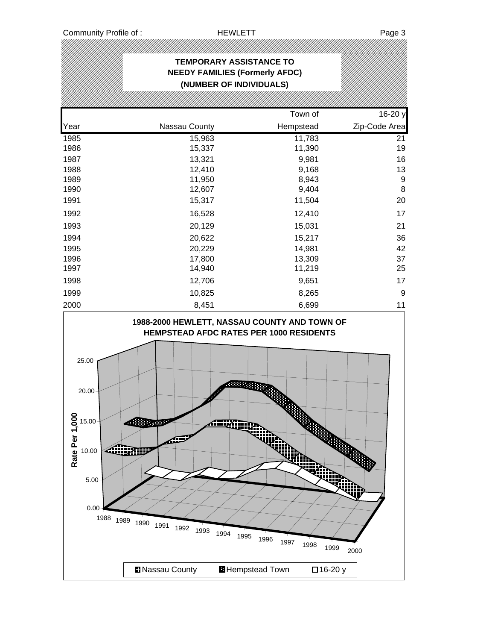|                                                                           |                                                        | <b>TEMPORARY ASSISTANCE TO</b><br><b>NEEDY FAMILIES (Formerly AFDC)</b><br>(NUMBER OF INDIVIDUALS) |               |
|---------------------------------------------------------------------------|--------------------------------------------------------|----------------------------------------------------------------------------------------------------|---------------|
|                                                                           |                                                        |                                                                                                    |               |
|                                                                           |                                                        | Town of                                                                                            | 16-20 y       |
| Year                                                                      | Nassau County                                          | Hempstead                                                                                          | Zip-Code Area |
| 1985                                                                      | 15,963                                                 | 11,783                                                                                             | 21            |
| 1986                                                                      | 15,337                                                 | 11,390                                                                                             | 19            |
| 1987                                                                      | 13,321                                                 | 9,981                                                                                              | 16            |
| 1988<br>1989                                                              | 12,410<br>11,950                                       | 9,168<br>8,943                                                                                     | 13<br>9       |
| 1990                                                                      | 12,607                                                 | 9,404                                                                                              | 8             |
| 1991                                                                      | 15,317                                                 | 11,504                                                                                             | 20            |
| 1992                                                                      | 16,528                                                 | 12,410                                                                                             | 17            |
| 1993                                                                      | 20,129                                                 | 15,031                                                                                             | 21            |
| 1994                                                                      | 20,622                                                 | 15,217                                                                                             | 36            |
| 1995                                                                      | 20,229                                                 | 14,981                                                                                             | 42            |
| 1996                                                                      | 17,800                                                 | 13,309                                                                                             | 37            |
| 1997                                                                      | 14,940                                                 | 11,219                                                                                             | 25            |
| 1998                                                                      | 12,706                                                 | 9,651                                                                                              | 17            |
| 1999                                                                      | 10,825                                                 | 8,265                                                                                              | 9             |
| 2000                                                                      | 8,451                                                  | 6,699                                                                                              | 11            |
| 25.00<br>20.00<br>Rate Per 1,00<br>15.00<br>10.00<br>5.00<br>0.00<br>1988 | Plaser<br>giit<br>1989<br>1990<br>1991<br>1992<br>1993 | <b>HEMPSTEAD AFDC RATES PER 1000 RESIDENTS</b><br>88889<br>1994<br>1995<br>1996<br>1997<br>1998    | 1999<br>2000  |
|                                                                           | Nassau County                                          | <b>Hempstead Town</b>                                                                              | □16-20 y      |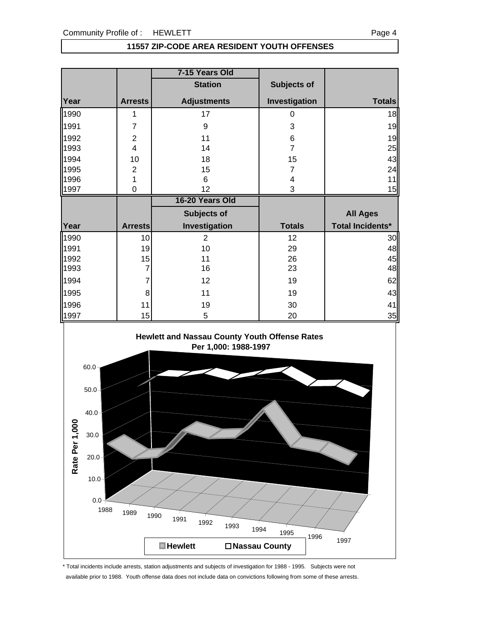#### **11557 ZIP-CODE AREA RESIDENT YOUTH OFFENSES**

|      |                  | 7-15 Years Old     |                |                         |
|------|------------------|--------------------|----------------|-------------------------|
|      |                  | <b>Station</b>     | Subjects of    |                         |
| Year | <b>Arrests</b>   | <b>Adjustments</b> | Investigation  | <b>Totals</b>           |
| 1990 | 1                | 17                 | 0              | 18                      |
| 1991 | 7                | 9                  | 3              | 19                      |
| 1992 | $\boldsymbol{2}$ | 11                 | 6              | 19                      |
| 1993 | 4                | 14                 | $\overline{7}$ | 25                      |
| 1994 | 10               | 18                 | 15             | 43                      |
| 1995 | $\mathbf{2}$     | 15                 | 7              | 24                      |
| 1996 | 1                | 6                  | 4              | 11                      |
| 1997 | $\mathbf 0$      | 12                 | 3              | 15                      |
|      |                  |                    |                |                         |
|      |                  | 16-20 Years Old    |                |                         |
|      |                  | Subjects of        |                | <b>All Ages</b>         |
| Year | <b>Arrests</b>   | Investigation      | <b>Totals</b>  | <b>Total Incidents*</b> |
| 1990 | 10               | $\overline{2}$     | 12             | 30                      |
| 1991 | 19               | 10                 | 29             | 48                      |
| 1992 | 15               | 11                 | 26             | 45                      |
| 1993 |                  | 16                 | 23             | 48                      |
| 1994 | 7                | 12                 | 19             | 62                      |
| 1995 | 8                | 11                 | 19             | 43                      |
| 1996 | 11               | 19                 | 30             | 41                      |



\* Total incidents include arrests, station adjustments and subjects of investigation for 1988 - 1995. Subjects were not available prior to 1988. Youth offense data does not include data on convictions following from some of these arrests.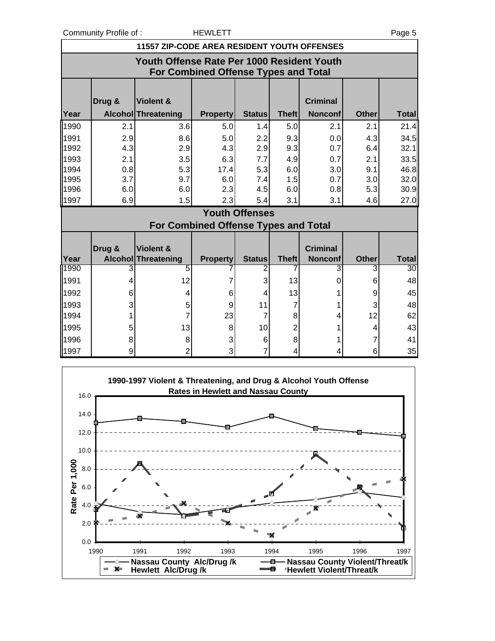Community Profile of : The MEWLETT Page 5

|      | <b>11557 ZIP-CODE AREA RESIDENT YOUTH OFFENSES</b>                                 |                                                    |                 |                       |              |                                   |              |              |  |  |
|------|------------------------------------------------------------------------------------|----------------------------------------------------|-----------------|-----------------------|--------------|-----------------------------------|--------------|--------------|--|--|
|      | Youth Offense Rate Per 1000 Resident Youth<br>For Combined Offense Types and Total |                                                    |                 |                       |              |                                   |              |              |  |  |
| Year | Drug &                                                                             | <b>Violent &amp;</b><br><b>Alcohol Threatening</b> | <b>Property</b> | <b>Status</b>         | <b>Theft</b> | <b>Criminal</b><br><b>Nonconf</b> | <b>Other</b> | <b>Total</b> |  |  |
| 1990 | 2.1                                                                                | 3.6                                                | 5.0             | 1.4                   | 5.0          | 2.1                               | 2.1          | 21.4         |  |  |
| 1991 | 2.9                                                                                | 8.6                                                | 5.0             | 2.2                   | 9.3          | 0.0                               | 4.3          | 34.5         |  |  |
| 1992 | 4.3                                                                                | 2.9                                                | 4.3             | 2.9                   | 9.3          | 0.7                               | 6.4          | 32.1         |  |  |
| 1993 | 2.1                                                                                | 3.5                                                | 6.3             | 7.7                   | 4.9          | 0.7                               | 2.1          | 33.5         |  |  |
| 1994 | 0.8                                                                                | 5.3                                                | 17.4            | 5.3                   | 6.0          | 3.0                               | 9.1          | 46.8         |  |  |
| 1995 | 3.7                                                                                | 9.7                                                | 6.0             | 7.4                   | 1.5          | 0.7                               | 3.0          | 32.0         |  |  |
| 1996 | 6.0                                                                                | 6.0                                                | 2.3             | 4.5                   | 6.0          | 0.8                               | 5.3          | 30.9         |  |  |
| 1997 | 6.9                                                                                | 1.5                                                | 2.3             | 5.4                   | 3.1          | 3.1                               | 4.6          | 27.0         |  |  |
|      |                                                                                    |                                                    |                 | <b>Youth Offenses</b> |              |                                   |              |              |  |  |
|      |                                                                                    | For Combined Offense Types and Total               |                 |                       |              |                                   |              |              |  |  |
| Year | Drug &                                                                             | Violent &<br><b>Alcohol Threatening</b>            | <b>Property</b> | <b>Status</b>         | <b>Theft</b> | <b>Criminal</b><br><b>Nonconf</b> | <b>Other</b> | <b>Total</b> |  |  |
| 1990 | 3                                                                                  | 5                                                  |                 |                       |              | 3                                 |              | 30           |  |  |
| 1991 | 4                                                                                  | 12                                                 |                 | 3                     | 13           | 0                                 | 6            | 48           |  |  |
| 1992 | 6                                                                                  | 4                                                  | 6               | 4                     | 13           |                                   | 9            | 45           |  |  |
| 1993 | 3                                                                                  | 5                                                  | 9               | 11                    | 7            | 1                                 | 3            | 48           |  |  |
| 1994 |                                                                                    | 7                                                  | 23              | 7                     | 8            | $\overline{\mathbf{r}}$           | 12           | 62           |  |  |
| 1995 | 5                                                                                  | 13                                                 | 8               | 10                    | 2            | 1                                 | 4            | 43           |  |  |
| 1996 | 8                                                                                  | 8                                                  | 3               | 6                     | 8            |                                   |              | 41           |  |  |
| 1997 | 9                                                                                  | $\overline{2}$                                     | 3               | 7                     | 4            | 4                                 | 6            | 35           |  |  |

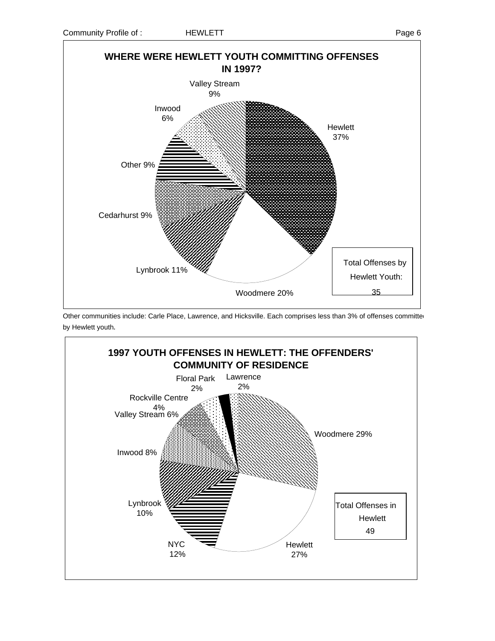



Other communities include: Carle Place, Lawrence, and Hicksville. Each comprises less than 3% of offenses committed by Hewlett youth.

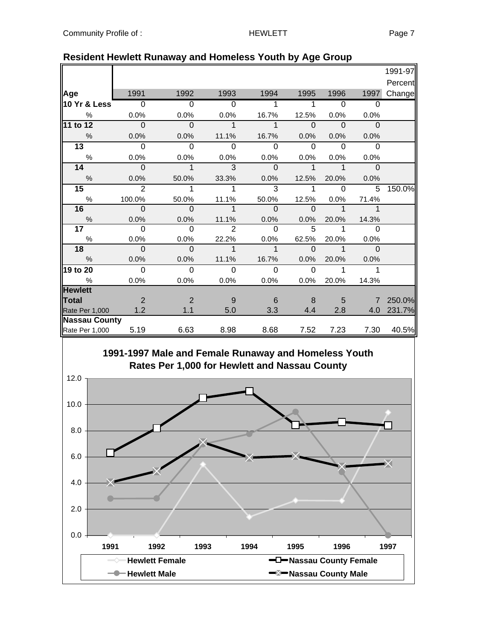|                      |                |                |                |              |                |                |                | 1991-97 |
|----------------------|----------------|----------------|----------------|--------------|----------------|----------------|----------------|---------|
|                      |                |                |                |              |                |                |                | Percent |
| Age                  | 1991           | 1992           | 1993           | 1994         | 1995           | 1996           | 1997           | Change  |
| 10 Yr & Less         | $\overline{0}$ | $\overline{0}$ | $\overline{0}$ | $\mathbf{1}$ | 1              | $\overline{0}$ | $\overline{0}$ |         |
| $\%$                 | 0.0%           | 0.0%           | 0.0%           | 16.7%        | 12.5%          | 0.0%           | 0.0%           |         |
| 11 to 12             | $\Omega$       | $\Omega$       | $\mathbf{1}$   | $\mathbf{1}$ | $\Omega$       | $\Omega$       | $\Omega$       |         |
| $\frac{0}{0}$        | 0.0%           | 0.0%           | 11.1%          | 16.7%        | 0.0%           | 0.0%           | 0.0%           |         |
| $\overline{13}$      | $\Omega$       | $\Omega$       | $\Omega$       | $\Omega$     | $\Omega$       | $\Omega$       | $\Omega$       |         |
| $\%$                 | 0.0%           | 0.0%           | 0.0%           | 0.0%         | 0.0%           | 0.0%           | 0.0%           |         |
| 14                   | $\Omega$       | $\mathbf{1}$   | 3              | $\Omega$     | $\overline{1}$ | $\mathbf{1}$   | $\Omega$       |         |
| $\frac{0}{0}$        | 0.0%           | 50.0%          | 33.3%          | 0.0%         | 12.5%          | 20.0%          | 0.0%           |         |
| 15                   | 2              | 1              | 1              | 3            | 1              | $\Omega$       | 5              | 150.0%  |
| $\frac{0}{0}$        | 100.0%         | 50.0%          | 11.1%          | 50.0%        | 12.5%          | 0.0%           | 71.4%          |         |
| 16                   | $\Omega$       | $\overline{0}$ | $\mathbf{1}$   | $\Omega$     | $\Omega$       | $\mathbf{1}$   | 1              |         |
| $\%$                 | 0.0%           | 0.0%           | 11.1%          | 0.0%         | 0.0%           | 20.0%          | 14.3%          |         |
| 17                   | $\Omega$       | $\Omega$       | $\mathbf{2}$   | $\Omega$     | 5              | 1              | $\Omega$       |         |
| $\%$                 | 0.0%           | 0.0%           | 22.2%          | 0.0%         | 62.5%          | 20.0%          | 0.0%           |         |
| 18                   | $\Omega$       | $\mathbf 0$    | $\mathbf{1}$   | $\mathbf 1$  | $\Omega$       | $\mathbf 1$    | $\Omega$       |         |
| $\frac{0}{0}$        | 0.0%           | 0.0%           | 11.1%          | 16.7%        | 0.0%           | 20.0%          | 0.0%           |         |
| 19 to 20             | $\Omega$       | $\Omega$       | $\Omega$       | $\Omega$     | $\mathbf 0$    | 1              | 1              |         |
| $\%$                 | 0.0%           | 0.0%           | 0.0%           | 0.0%         | 0.0%           | 20.0%          | 14.3%          |         |
| <b>Hewlett</b>       |                |                |                |              |                |                |                |         |
| Total                | 2              | 2              | 9              | 6            | 8              | 5              | $\overline{7}$ | 250.0%  |
| Rate Per 1,000       | 1.2            | 1.1            | 5.0            | 3.3          | 4.4            | 2.8            | 4.0            | 231.7%  |
| <b>Nassau County</b> |                |                |                |              |                |                |                |         |
| Rate Per 1,000       | 5.19           | 6.63           | 8.98           | 8.68         | 7.52           | 7.23           | 7.30           | 40.5%   |

#### **Resident Hewlett Runaway and Homeless Youth by Age Group**

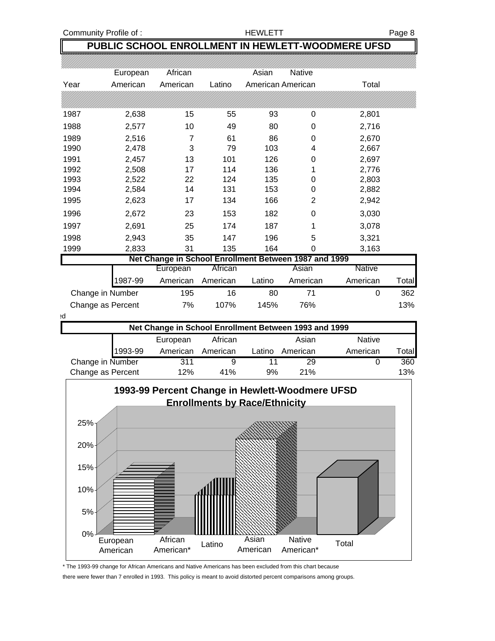#### **PUBLIC SCHOOL ENROLLMENT IN HEWLETT-WOODMERE UFSD**

|                   | European                                              | African  |          | Asian  | Native            |          |       |  |  |  |  |
|-------------------|-------------------------------------------------------|----------|----------|--------|-------------------|----------|-------|--|--|--|--|
| Year              | American                                              | American | Latino   |        | American American | Total    |       |  |  |  |  |
|                   |                                                       |          |          |        |                   |          |       |  |  |  |  |
| 1987              | 2,638                                                 | 15       | 55       | 93     | 0                 | 2,801    |       |  |  |  |  |
| 1988              | 2,577                                                 | 10       | 49       | 80     | 0                 | 2,716    |       |  |  |  |  |
| 1989              | 2,516                                                 | 7        | 61       | 86     | 0                 | 2,670    |       |  |  |  |  |
| 1990              | 2,478                                                 | 3        | 79       | 103    | 4                 | 2,667    |       |  |  |  |  |
| 1991              | 2,457                                                 | 13       | 101      | 126    | 0                 | 2,697    |       |  |  |  |  |
| 1992              | 2,508                                                 | 17       | 114      | 136    |                   | 2,776    |       |  |  |  |  |
| 1993              | 2,522                                                 | 22       | 124      | 135    | 0                 | 2,803    |       |  |  |  |  |
| 1994              | 2,584                                                 | 14       | 131      | 153    | 0                 | 2,882    |       |  |  |  |  |
| 1995              | 2,623                                                 | 17       | 134      | 166    | 2                 | 2,942    |       |  |  |  |  |
| 1996              | 2,672                                                 | 23       | 153      | 182    | 0                 | 3,030    |       |  |  |  |  |
| 1997              | 2,691                                                 | 25       | 174      | 187    |                   | 3,078    |       |  |  |  |  |
| 1998              | 2,943                                                 | 35       | 147      | 196    | 5                 | 3,321    |       |  |  |  |  |
| 1999              | 2,833                                                 | 31       | 135      | 164    | 0                 | 3,163    |       |  |  |  |  |
|                   | Net Change in School Enrollment Between 1987 and 1999 |          |          |        |                   |          |       |  |  |  |  |
|                   |                                                       | European | African  |        | Asian             | Native   |       |  |  |  |  |
|                   | 1987-99                                               | American | American | Latino | American          | American | Total |  |  |  |  |
| Change in Number  |                                                       | 195      | 16       | 80     | 71                | 0        | 362   |  |  |  |  |
| Change as Percent |                                                       | 7%       | 107%     | 145%   | 76%               |          | 13%   |  |  |  |  |

ed

| Net Change in School Enrollment Between 1993 and 1999 |          |          |        |          |               |       |  |
|-------------------------------------------------------|----------|----------|--------|----------|---------------|-------|--|
|                                                       | European | African  |        | Asian    | <b>Native</b> |       |  |
| 1993-99                                               | American | American | Latino | American | American      | Total |  |
| Change in Number                                      | 311      |          |        | 29       |               | 360   |  |
| Change as Percent                                     | 12%      | 41%      | 9%     | 21%      |               | 13%   |  |



\* The 1993-99 change for African Americans and Native Americans has been excluded from this chart because there were fewer than 7 enrolled in 1993. This policy is meant to avoid distorted percent comparisons among groups.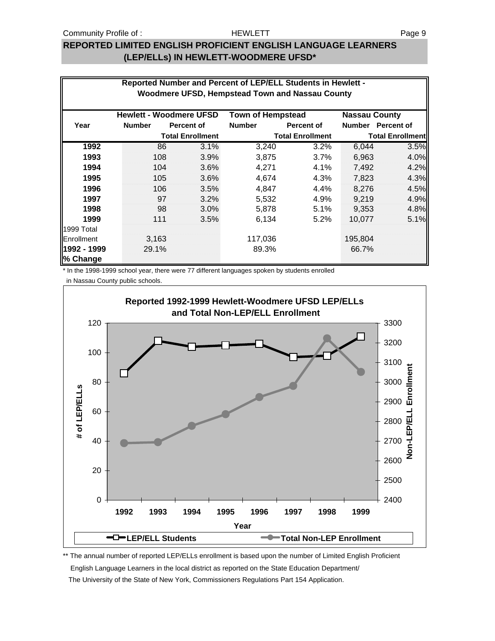#### HEWLETT

#### **REPORTED LIMITED ENGLISH PROFICIENT ENGLISH LANGUAGE LEARNERS (LEP/ELLs) IN HEWLETT-WOODMERE UFSD\***

|                         |               | Reported Number and Percent of LEP/ELL Students in Hewlett -<br>Woodmere UFSD, Hempstead Town and Nassau County |                          |                         |                      |                         |
|-------------------------|---------------|-----------------------------------------------------------------------------------------------------------------|--------------------------|-------------------------|----------------------|-------------------------|
|                         |               | <b>Hewlett - Woodmere UFSD</b>                                                                                  | <b>Town of Hempstead</b> |                         | <b>Nassau County</b> |                         |
| Year                    | <b>Number</b> | <b>Percent of</b>                                                                                               | <b>Number</b>            | <b>Percent of</b>       |                      | Number Percent of       |
|                         |               | <b>Total Enrollment</b>                                                                                         |                          | <b>Total Enrollment</b> |                      | <b>Total Enrollment</b> |
| 1992                    | 86            | 3.1%                                                                                                            | 3,240                    | 3.2%                    | 6,044                | 3.5%                    |
| 1993                    | 108           | 3.9%                                                                                                            | 3,875                    | 3.7%                    | 6,963                | 4.0%                    |
| 1994                    | 104           | 3.6%                                                                                                            | 4,271                    | 4.1%                    | 7,492                | 4.2%                    |
| 1995                    | 105           | 3.6%                                                                                                            | 4,674                    | 4.3%                    | 7,823                | 4.3%                    |
| 1996                    | 106           | 3.5%                                                                                                            | 4,847                    | 4.4%                    | 8,276                | 4.5%                    |
| 1997                    | 97            | 3.2%                                                                                                            | 5,532                    | 4.9%                    | 9,219                | 4.9%                    |
| 1998                    | 98            | 3.0%                                                                                                            | 5,878                    | 5.1%                    | 9,353                | 4.8%                    |
| 1999                    | 111           | 3.5%                                                                                                            | 6,134                    | 5.2%                    | 10,077               | 5.1%                    |
| 1999 Total              |               |                                                                                                                 |                          |                         |                      |                         |
| Enrollment              | 3,163         |                                                                                                                 | 117,036                  |                         | 195,804              |                         |
| 1992 - 1999<br>% Change | 29.1%         |                                                                                                                 | 89.3%                    |                         | 66.7%                |                         |

\* In the 1998-1999 school year, there were 77 different languages spoken by students enrolled

in Nassau County public schools.



\*\* The annual number of reported LEP/ELLs enrollment is based upon the number of Limited English Proficient English Language Learners in the local district as reported on the State Education Department/ The University of the State of New York, Commissioners Regulations Part 154 Application.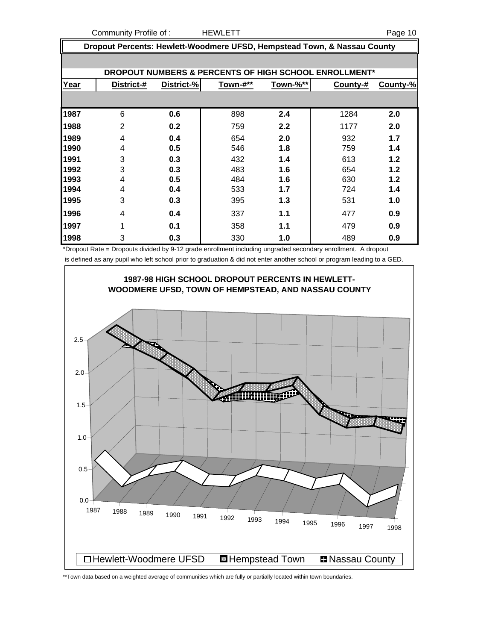Community Profile of : The HEWLETT The Community Page 10

**Dropout Percents: Hewlett-Woodmere UFSD, Hempstead Town, & Nassau County**

|      |                |            |          |          | DROPOUT NUMBERS & PERCENTS OF HIGH SCHOOL ENROLLMENT* |          |
|------|----------------|------------|----------|----------|-------------------------------------------------------|----------|
| Year | District-#     | District-% | Town-#** | Town-%** | County-#                                              | County-% |
|      |                |            |          |          |                                                       |          |
| 1987 | 6              | 0.6        | 898      | 2.4      | 1284                                                  | 2.0      |
| 1988 | $\overline{2}$ | 0.2        | 759      | 2.2      | 1177                                                  | 2.0      |
| 1989 | 4              | 0.4        | 654      | 2.0      | 932                                                   | 1.7      |
| 1990 | 4              | 0.5        | 546      | 1.8      | 759                                                   | 1.4      |
| 1991 | 3              | 0.3        | 432      | 1.4      | 613                                                   | 1.2      |
| 1992 | 3              | 0.3        | 483      | 1.6      | 654                                                   | 1.2      |
| 1993 | 4              | 0.5        | 484      | 1.6      | 630                                                   | 1.2      |
| 1994 | 4              | 0.4        | 533      | 1.7      | 724                                                   | 1.4      |
| 1995 | 3              | 0.3        | 395      | 1.3      | 531                                                   | 1.0      |
| 1996 | 4              | 0.4        | 337      | 1.1      | 477                                                   | 0.9      |
| 1997 | 1              | 0.1        | 358      | 1.1      | 479                                                   | 0.9      |
| 1998 | 3              | 0.3        | 330      | 1.0      | 489                                                   | 0.9      |

\*Dropout Rate = Dropouts divided by 9-12 grade enrollment including ungraded secondary enrollment. A dropout is defined as any pupil who left school prior to graduation & did not enter another school or program leading to a GED.



\*\*Town data based on a weighted average of communities which are fully or partially located within town boundaries.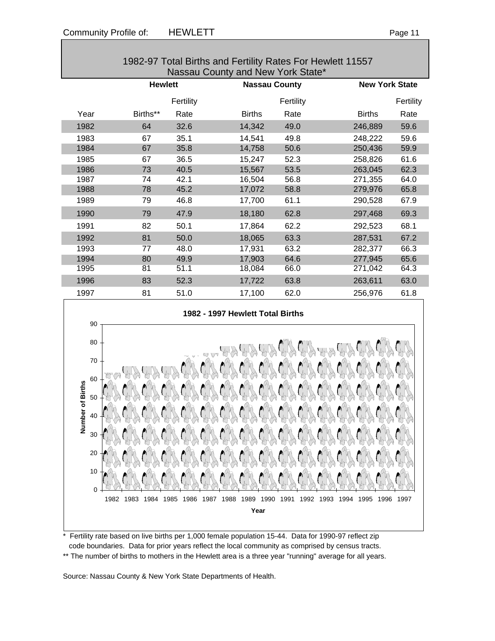| 1982-97 Total Births and Fertility Rates For Hewlett 11557 |                |           |                      |           |                       |           |  |
|------------------------------------------------------------|----------------|-----------|----------------------|-----------|-----------------------|-----------|--|
| Nassau County and New York State*                          |                |           |                      |           |                       |           |  |
|                                                            | <b>Hewlett</b> |           | <b>Nassau County</b> |           | <b>New York State</b> |           |  |
|                                                            |                | Fertility |                      | Fertility |                       | Fertility |  |
| Year                                                       | Births**       | Rate      | <b>Births</b>        | Rate      | <b>Births</b>         | Rate      |  |
| 1982                                                       | 64             | 32.6      | 14,342               | 49.0      | 246,889               | 59.6      |  |
| 1983                                                       | 67             | 35.1      | 14,541               | 49.8      | 248,222               | 59.6      |  |
| 1984                                                       | 67             | 35.8      | 14,758               | 50.6      | 250,436               | 59.9      |  |
| 1985                                                       | 67             | 36.5      | 15,247               | 52.3      | 258,826               | 61.6      |  |
| 1986                                                       | 73             | 40.5      | 15,567               | 53.5      | 263,045               | 62.3      |  |
| 1987                                                       | 74             | 42.1      | 16,504               | 56.8      | 271,355               | 64.0      |  |
| 1988                                                       | 78             | 45.2      | 17,072               | 58.8      | 279,976               | 65.8      |  |
| 1989                                                       | 79             | 46.8      | 17,700               | 61.1      | 290,528               | 67.9      |  |
| 1990                                                       | 79             | 47.9      | 18,180               | 62.8      | 297,468               | 69.3      |  |
| 1991                                                       | 82             | 50.1      | 17,864               | 62.2      | 292,523               | 68.1      |  |
| 1992                                                       | 81             | 50.0      | 18,065               | 63.3      | 287,531               | 67.2      |  |
| 1993                                                       | 77             | 48.0      | 17,931               | 63.2      | 282,377               | 66.3      |  |
| 1994                                                       | 80             | 49.9      | 17,903               | 64.6      | 277,945               | 65.6      |  |
| 1995                                                       | 81             | 51.1      | 18,084               | 66.0      | 271,042               | 64.3      |  |
| 1996                                                       | 83             | 52.3      | 17,722               | 63.8      | 263,611               | 63.0      |  |
| 1997                                                       | 81             | 51.0      | 17,100               | 62.0      | 256,976               | 61.8      |  |



Fertility rate based on live births per 1,000 female population 15-44. Data for 1990-97 reflect zip code boundaries. Data for prior years reflect the local community as comprised by census tracts. \*\* The number of births to mothers in the Hewlett area is a three year "running" average for all years.

Source: Nassau County & New York State Departments of Health.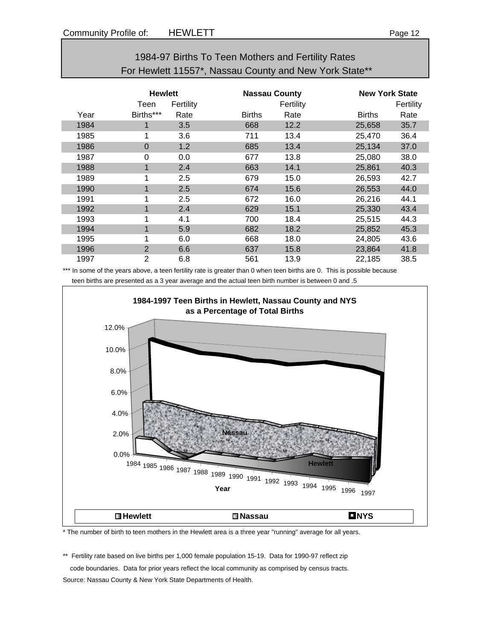### 1984-97 Births To Teen Mothers and Fertility Rates For Hewlett 11557\*, Nassau County and New York State\*\*

|      | <b>Hewlett</b><br>Fertility<br>Teen |      |               | <b>Nassau County</b><br>Fertility |               | <b>New York State</b><br>Fertility |  |
|------|-------------------------------------|------|---------------|-----------------------------------|---------------|------------------------------------|--|
| Year | Births***                           | Rate | <b>Births</b> | Rate                              | <b>Births</b> | Rate                               |  |
| 1984 |                                     | 3.5  | 668           | 12.2                              | 25,658        | 35.7                               |  |
| 1985 | 1                                   | 3.6  | 711           | 13.4                              | 25,470        | 36.4                               |  |
| 1986 | $\Omega$                            | 1.2  | 685           | 13.4                              | 25,134        | 37.0                               |  |
| 1987 | $\Omega$                            | 0.0  | 677           | 13.8                              | 25,080        | 38.0                               |  |
| 1988 | 4                                   | 2.4  | 663           | 14.1                              | 25,861        | 40.3                               |  |
| 1989 | 1                                   | 2.5  | 679           | 15.0                              | 26,593        | 42.7                               |  |
| 1990 |                                     | 2.5  | 674           | 15.6                              | 26,553        | 44.0                               |  |
| 1991 |                                     | 2.5  | 672           | 16.0                              | 26,216        | 44.1                               |  |
| 1992 |                                     | 2.4  | 629           | 15.1                              | 25,330        | 43.4                               |  |
| 1993 |                                     | 4.1  | 700           | 18.4                              | 25,515        | 44.3                               |  |
| 1994 | 4                                   | 5.9  | 682           | 18.2                              | 25,852        | 45.3                               |  |
| 1995 |                                     | 6.0  | 668           | 18.0                              | 24,805        | 43.6                               |  |
| 1996 | $\overline{2}$                      | 6.6  | 637           | 15.8                              | 23,864        | 41.8                               |  |
| 1997 | 2                                   | 6.8  | 561           | 13.9                              | 22,185        | 38.5                               |  |

\*\*\* In some of the years above, a teen fertility rate is greater than 0 when teen births are 0. This is possible because teen births are presented as a 3 year average and the actual teen birth number is between 0 and .5



\* The number of birth to teen mothers in the Hewlett area is a three year "running" average for all years.

\*\* Fertility rate based on live births per 1,000 female population 15-19. Data for 1990-97 reflect zip code boundaries. Data for prior years reflect the local community as comprised by census tracts. Source: Nassau County & New York State Departments of Health.